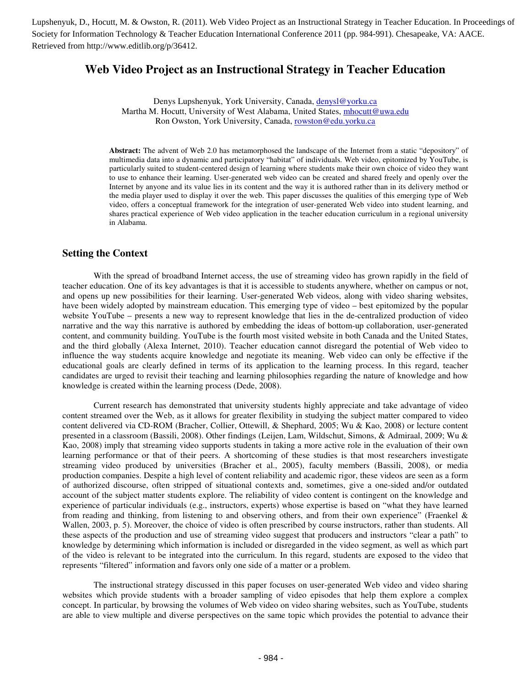Society for Information Technology & Teacher Education International Conference 2011 (pp. 984-991). Chesapeake, VA: AACE. Retrieved from http://www.editlib.org/p/36412.

# **Web Video Project as an Instructional Strategy in Teacher Education**

Denys Lupshenyuk, York University, Canada, denysl@yorku.ca Martha M. Hocutt, University of West Alabama, United States, mhocutt@uwa.edu Ron Owston, York University, Canada, rowston@edu.yorku.ca

**Abstract:** The advent of Web 2.0 has metamorphosed the landscape of the Internet from a static "depository" of multimedia data into a dynamic and participatory "habitat" of individuals. Web video, epitomized by YouTube, is particularly suited to student-centered design of learning where students make their own choice of video they want to use to enhance their learning. User-generated web video can be created and shared freely and openly over the Internet by anyone and its value lies in its content and the way it is authored rather than in its delivery method or the media player used to display it over the web. This paper discusses the qualities of this emerging type of Web video, offers a conceptual framework for the integration of user-generated Web video into student learning, and shares practical experience of Web video application in the teacher education curriculum in a regional university in Alabama.

### **Setting the Context**

With the spread of broadband Internet access, the use of streaming video has grown rapidly in the field of teacher education. One of its key advantages is that it is accessible to students anywhere, whether on campus or not, and opens up new possibilities for their learning. User-generated Web videos, along with video sharing websites, have been widely adopted by mainstream education. This emerging type of video – best epitomized by the popular website YouTube – presents a new way to represent knowledge that lies in the de-centralized production of video narrative and the way this narrative is authored by embedding the ideas of bottom-up collaboration, user-generated content, and community building. YouTube is the fourth most visited website in both Canada and the United States, and the third globally (Alexa Internet, 2010). Teacher education cannot disregard the potential of Web video to influence the way students acquire knowledge and negotiate its meaning. Web video can only be effective if the educational goals are clearly defined in terms of its application to the learning process. In this regard, teacher candidates are urged to revisit their teaching and learning philosophies regarding the nature of knowledge and how knowledge is created within the learning process (Dede, 2008).

Current research has demonstrated that university students highly appreciate and take advantage of video content streamed over the Web, as it allows for greater flexibility in studying the subject matter compared to video content delivered via CD-ROM (Bracher, Collier, Ottewill, & Shephard, 2005; Wu & Kao, 2008) or lecture content presented in a classroom (Bassili, 2008). Other findings (Leijen, Lam, Wildschut, Simons, & Admiraal, 2009; Wu & Kao, 2008) imply that streaming video supports students in taking a more active role in the evaluation of their own learning performance or that of their peers. A shortcoming of these studies is that most researchers investigate streaming video produced by universities (Bracher et al., 2005), faculty members (Bassili, 2008), or media production companies. Despite a high level of content reliability and academic rigor, these videos are seen as a form of authorized discourse, often stripped of situational contexts and, sometimes, give a one-sided and/or outdated account of the subject matter students explore. The reliability of video content is contingent on the knowledge and experience of particular individuals (e.g., instructors, experts) whose expertise is based on "what they have learned from reading and thinking, from listening to and observing others, and from their own experience" (Fraenkel & Wallen, 2003, p. 5). Moreover, the choice of video is often prescribed by course instructors, rather than students. All these aspects of the production and use of streaming video suggest that producers and instructors "clear a path" to knowledge by determining which information is included or disregarded in the video segment, as well as which part of the video is relevant to be integrated into the curriculum. In this regard, students are exposed to the video that represents "filtered" information and favors only one side of a matter or a problem. Fragment of the two states of the two states of the two formats of the two first particles in the two first particles in the two first particles in the two first particles in the two first particles in the two first part

The instructional strategy discussed in this paper focuses on user-generated Web video and video sharing websites which provide students with a broader sampling of video episodes that help them explore a complex concept. In particular, by browsing the volumes of Web video on video sharing websites, such as YouTube, students are able to view multiple and diverse perspectives on the same topic which provides the potential to advance their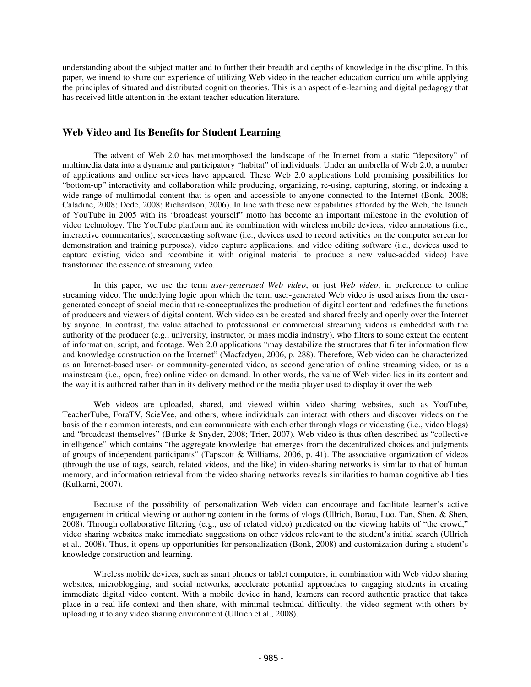understanding about the subject matter and to further their breadth and depths of knowledge in the discipline. In this paper, we intend to share our experience of utilizing Web video in the teacher education curriculum while applying the principles of situated and distributed cognition theories. This is an aspect of e-learning and digital pedagogy that has received little attention in the extant teacher education literature.

### **Web Video and Its Benefits for Student Learning**

The advent of Web 2.0 has metamorphosed the landscape of the Internet from a static "depository" of multimedia data into a dynamic and participatory "habitat" of individuals. Under an umbrella of Web 2.0, a number of applications and online services have appeared. These Web 2.0 applications hold promising possibilities for "bottom-up" interactivity and collaboration while producing, organizing, re-using, capturing, storing, or indexing a wide range of multimodal content that is open and accessible to anyone connected to the Internet (Bonk, 2008; Caladine, 2008; Dede, 2008; Richardson, 2006). In line with these new capabilities afforded by the Web, the launch of YouTube in 2005 with its "broadcast yourself" motto has become an important milestone in the evolution of video technology. The YouTube platform and its combination with wireless mobile devices, video annotations (i.e., interactive commentaries), screencasting software (i.e., devices used to record activities on the computer screen for demonstration and training purposes), video capture applications, and video editing software (i.e., devices used to capture existing video and recombine it with original material to produce a new value-added video) have transformed the essence of streaming video.

In this paper, we use the term *user-generated Web video*, or just *Web video*, in preference to online streaming video. The underlying logic upon which the term user-generated Web video is used arises from the usergenerated concept of social media that re-conceptualizes the production of digital content and redefines the functions of producers and viewers of digital content. Web video can be created and shared freely and openly over the Internet by anyone. In contrast, the value attached to professional or commercial streaming videos is embedded with the authority of the producer (e.g., university, instructor, or mass media industry), who filters to some extent the content of information, script, and footage. Web 2.0 applications "may destabilize the structures that filter information flow and knowledge construction on the Internet" (Macfadyen, 2006, p. 288). Therefore, Web video can be characterized as an Internet-based user- or community-generated video, as second generation of online streaming video, or as a mainstream (i.e., open, free) online video on demand. In other words, the value of Web video lies in its content and the way it is authored rather than in its delivery method or the media player used to display it over the web.

Web videos are uploaded, shared, and viewed within video sharing websites, such as YouTube, TeacherTube, ForaTV, ScieVee, and others, where individuals can interact with others and discover videos on the basis of their common interests, and can communicate with each other through vlogs or vidcasting (i.e., video blogs) and "broadcast themselves" (Burke & Snyder, 2008; Trier, 2007). Web video is thus often described as "collective intelligence" which contains "the aggregate knowledge that emerges from the decentralized choices and judgments of groups of independent participants" (Tapscott & Williams, 2006, p. 41). The associative organization of videos (through the use of tags, search, related videos, and the like) in video-sharing networks is similar to that of human memory, and information retrieval from the video sharing networks reveals similarities to human cognitive abilities (Kulkarni, 2007).

Because of the possibility of personalization Web video can encourage and facilitate learner's active engagement in critical viewing or authoring content in the forms of vlogs (Ullrich, Borau, Luo, Tan, Shen, & Shen, 2008). Through collaborative filtering (e.g., use of related video) predicated on the viewing habits of "the crowd," video sharing websites make immediate suggestions on other videos relevant to the student's initial search (Ullrich et al., 2008). Thus, it opens up opportunities for personalization (Bonk, 2008) and customization during a student's knowledge construction and learning.

Wireless mobile devices, such as smart phones or tablet computers, in combination with Web video sharing websites, microblogging, and social networks, accelerate potential approaches to engaging students in creating immediate digital video content. With a mobile device in hand, learners can record authentic practice that takes place in a real-life context and then share, with minimal technical difficulty, the video segment with others by uploading it to any video sharing environment (Ullrich et al., 2008).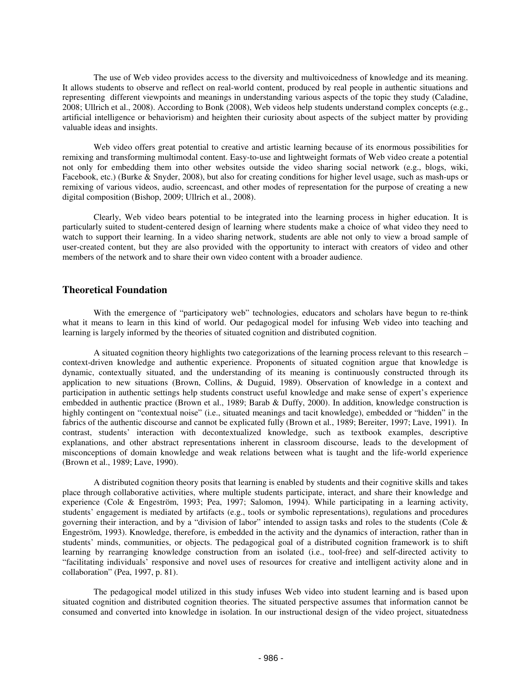The use of Web video provides access to the diversity and multivoicedness of knowledge and its meaning. It allows students to observe and reflect on real-world content, produced by real people in authentic situations and representing different viewpoints and meanings in understanding various aspects of the topic they study (Caladine, 2008; Ullrich et al., 2008). According to Bonk (2008), Web videos help students understand complex concepts (e.g., artificial intelligence or behaviorism) and heighten their curiosity about aspects of the subject matter by providing valuable ideas and insights.

Web video offers great potential to creative and artistic learning because of its enormous possibilities for remixing and transforming multimodal content. Easy-to-use and lightweight formats of Web video create a potential not only for embedding them into other websites outside the video sharing social network (e.g., blogs, wiki, Facebook, etc.) (Burke & Snyder, 2008), but also for creating conditions for higher level usage, such as mash-ups or remixing of various videos, audio, screencast, and other modes of representation for the purpose of creating a new digital composition (Bishop, 2009; Ullrich et al., 2008).

Clearly, Web video bears potential to be integrated into the learning process in higher education. It is particularly suited to student-centered design of learning where students make a choice of what video they need to watch to support their learning. In a video sharing network, students are able not only to view a broad sample of user-created content, but they are also provided with the opportunity to interact with creators of video and other members of the network and to share their own video content with a broader audience.

### **Theoretical Foundation**

With the emergence of "participatory web" technologies, educators and scholars have begun to re-think what it means to learn in this kind of world. Our pedagogical model for infusing Web video into teaching and learning is largely informed by the theories of situated cognition and distributed cognition.

A situated cognition theory highlights two categorizations of the learning process relevant to this research – context-driven knowledge and authentic experience. Proponents of situated cognition argue that knowledge is dynamic, contextually situated, and the understanding of its meaning is continuously constructed through its application to new situations (Brown, Collins, & Duguid, 1989). Observation of knowledge in a context and participation in authentic settings help students construct useful knowledge and make sense of expert's experience embedded in authentic practice (Brown et al., 1989; Barab & Duffy, 2000). In addition, knowledge construction is highly contingent on "contextual noise" (i.e., situated meanings and tacit knowledge), embedded or "hidden" in the fabrics of the authentic discourse and cannot be explicated fully (Brown et al., 1989; Bereiter, 1997; Lave, 1991). In contrast, students' interaction with decontextualized knowledge, such as textbook examples, descriptive explanations, and other abstract representations inherent in classroom discourse, leads to the development of misconceptions of domain knowledge and weak relations between what is taught and the life-world experience (Brown et al., 1989; Lave, 1990).

A distributed cognition theory posits that learning is enabled by students and their cognitive skills and takes place through collaborative activities, where multiple students participate, interact, and share their knowledge and experience (Cole & Engeström, 1993; Pea, 1997; Salomon, 1994). While participating in a learning activity, students' engagement is mediated by artifacts (e.g., tools or symbolic representations), regulations and procedures governing their interaction, and by a "division of labor" intended to assign tasks and roles to the students (Cole & Engeström, 1993). Knowledge, therefore, is embedded in the activity and the dynamics of interaction, rather than in students' minds, communities, or objects. The pedagogical goal of a distributed cognition framework is to shift learning by rearranging knowledge construction from an isolated (i.e., tool-free) and self-directed activity to "facilitating individuals' responsive and novel uses of resources for creative and intelligent activity alone and in collaboration" (Pea, 1997, p. 81).

The pedagogical model utilized in this study infuses Web video into student learning and is based upon situated cognition and distributed cognition theories. The situated perspective assumes that information cannot be consumed and converted into knowledge in isolation. In our instructional design of the video project, situatedness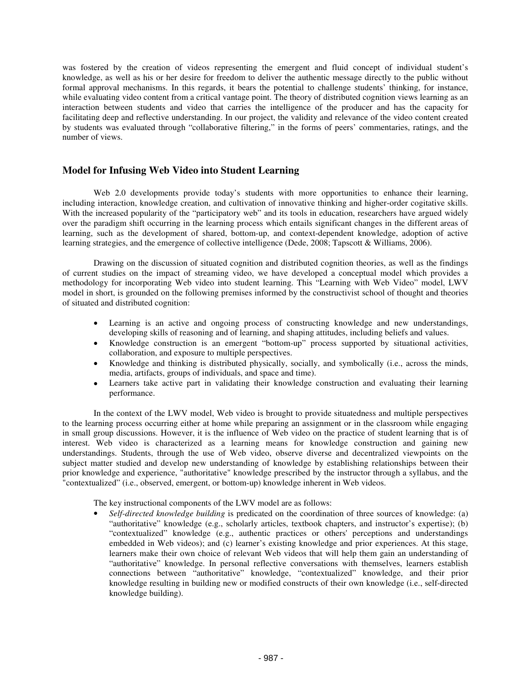was fostered by the creation of videos representing the emergent and fluid concept of individual student's knowledge, as well as his or her desire for freedom to deliver the authentic message directly to the public without formal approval mechanisms. In this regards, it bears the potential to challenge students' thinking, for instance, while evaluating video content from a critical vantage point. The theory of distributed cognition views learning as an interaction between students and video that carries the intelligence of the producer and has the capacity for facilitating deep and reflective understanding. In our project, the validity and relevance of the video content created by students was evaluated through "collaborative filtering," in the forms of peers' commentaries, ratings, and the number of views.

## **Model for Infusing Web Video into Student Learning**

Web 2.0 developments provide today's students with more opportunities to enhance their learning, including interaction, knowledge creation, and cultivation of innovative thinking and higher-order cogitative skills. With the increased popularity of the "participatory web" and its tools in education, researchers have argued widely over the paradigm shift occurring in the learning process which entails significant changes in the different areas of learning, such as the development of shared, bottom-up, and context-dependent knowledge, adoption of active learning strategies, and the emergence of collective intelligence (Dede, 2008; Tapscott & Williams, 2006).

Drawing on the discussion of situated cognition and distributed cognition theories, as well as the findings of current studies on the impact of streaming video, we have developed a conceptual model which provides a methodology for incorporating Web video into student learning. This "Learning with Web Video" model, LWV model in short, is grounded on the following premises informed by the constructivist school of thought and theories of situated and distributed cognition:

- Learning is an active and ongoing process of constructing knowledge and new understandings, developing skills of reasoning and of learning, and shaping attitudes, including beliefs and values.
- Knowledge construction is an emergent "bottom-up" process supported by situational activities, collaboration, and exposure to multiple perspectives.
- Knowledge and thinking is distributed physically, socially, and symbolically (i.e., across the minds, media, artifacts, groups of individuals, and space and time).
- Learners take active part in validating their knowledge construction and evaluating their learning performance.

In the context of the LWV model, Web video is brought to provide situatedness and multiple perspectives to the learning process occurring either at home while preparing an assignment or in the classroom while engaging in small group discussions. However, it is the influence of Web video on the practice of student learning that is of interest. Web video is characterized as a learning means for knowledge construction and gaining new understandings. Students, through the use of Web video, observe diverse and decentralized viewpoints on the subject matter studied and develop new understanding of knowledge by establishing relationships between their prior knowledge and experience, "authoritative" knowledge prescribed by the instructor through a syllabus, and the "contextualized" (i.e., observed, emergent, or bottom-up) knowledge inherent in Web videos.

The key instructional components of the LWV model are as follows:

• *Self-directed knowledge building* is predicated on the coordination of three sources of knowledge: (a) "authoritative" knowledge (e.g., scholarly articles, textbook chapters, and instructor's expertise); (b) "contextualized" knowledge (e.g., authentic practices or others'perceptions and understandings embedded in Web videos); and (c) learner's existing knowledge and prior experiences. At this stage, learners make their own choice of relevant Web videos that will help them gain an understanding of "authoritative" knowledge. In personal reflective conversations with themselves, learners establish connections between "authoritative" knowledge, "contextualized" knowledge, and their prior knowledge resulting in building new or modified constructs of their own knowledge (i.e., self-directed knowledge building).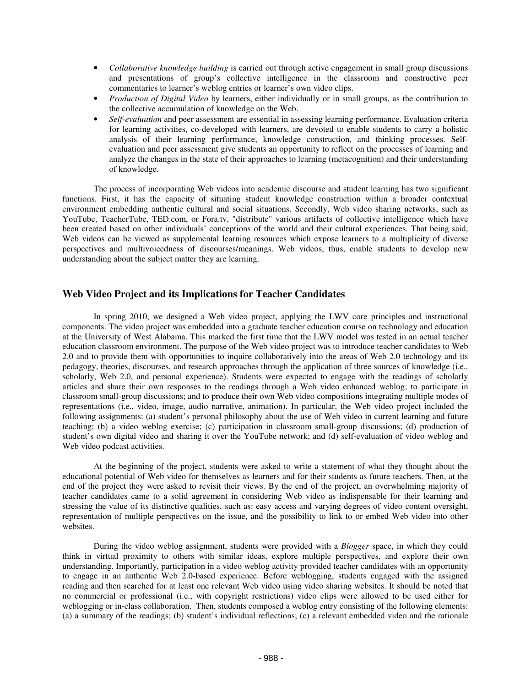- *Collaborative knowledge building* is carried out through active engagement in small group discussions and presentations of group's collective intelligence in the classroom and constructive peer commentaries to learner's weblog entries or learner's own video clips.
- *Production of Digital Video* by learners, either individually or in small groups, as the contribution to the collective accumulation of knowledge on the Web.
- *Self-evaluation* and peer assessment are essential in assessing learning performance. Evaluation criteria for learning activities, co-developed with learners, are devoted to enable students to carry a holistic analysis of their learning performance, knowledge construction, and thinking processes. Selfevaluation and peer assessment give students an opportunity to reflect on the processes of learning and analyze the changes in the state of their approaches to learning (metacognition) and their understanding of knowledge.

The process of incorporating Web videos into academic discourse and student learning has two significant functions. First, it has the capacity of situating student knowledge construction within a broader contextual environment embedding authentic cultural and social situations. Secondly, Web video sharing networks, such as YouTube, TeacherTube, TED.com, or Fora.tv, "distribute" various artifacts of collective intelligence which have been created based on other individuals' conceptions of the world and their cultural experiences. That being said, Web videos can be viewed as supplemental learning resources which expose learners to a multiplicity of diverse perspectives and multivoicedness of discourses/meanings. Web videos, thus, enable students to develop new understanding about the subject matter they are learning.

## **Web Video Project and its Implications for Teacher Candidates**

In spring 2010, we designed a Web video project, applying the LWV core principles and instructional components. The video project was embedded into a graduate teacher education course on technology and education at the University of West Alabama. This marked the first time that the LWV model was tested in an actual teacher education classroom environment. The purpose of the Web video project was to introduce teacher candidates to Web 2.0 and to provide them with opportunities to inquire collaboratively into the areas of Web 2.0 technology and its pedagogy, theories, discourses, and research approaches through the application of three sources of knowledge (i.e., scholarly, Web 2.0, and personal experience). Students were expected to engage with the readings of scholarly articles and share their own responses to the readings through a Web video enhanced weblog; to participate in classroom small-group discussions; and to produce their own Web video compositions integrating multiple modes of representations (i.e., video, image, audio narrative, animation). In particular, the Web video project included the following assignments: (a) student's personal philosophy about the use of Web video in current learning and future teaching; (b) a video weblog exercise; (c) participation in classroom small-group discussions; (d) production of student's own digital video and sharing it over the YouTube network; and (d) self-evaluation of video weblog and Web video podcast activities.

At the beginning of the project, students were asked to write a statement of what they thought about the educational potential of Web video for themselves as learners and for their students as future teachers. Then, at the end of the project they were asked to revisit their views. By the end of the project, an overwhelming majority of teacher candidates came to a solid agreement in considering Web video as indispensable for their learning and stressing the value of its distinctive qualities, such as: easy access and varying degrees of video content oversight, representation of multiple perspectives on the issue, and the possibility to link to or embed Web video into other websites.

During the video weblog assignment, students were provided with a *Blogger* space, in which they could think in virtual proximity to others with similar ideas, explore multiple perspectives, and explore their own understanding. Importantly, participation in a video weblog activity provided teacher candidates with an opportunity to engage in an authentic Web 2.0-based experience. Before weblogging, students engaged with the assigned reading and then searched for at least one relevant Web video using video sharing websites. It should be noted that no commercial or professional (i.e., with copyright restrictions) video clips were allowed to be used either for weblogging or in-class collaboration. Then, students composed a weblog entry consisting of the following elements: (a) a summary of the readings; (b) student's individual reflections; (c) a relevant embedded video and the rationale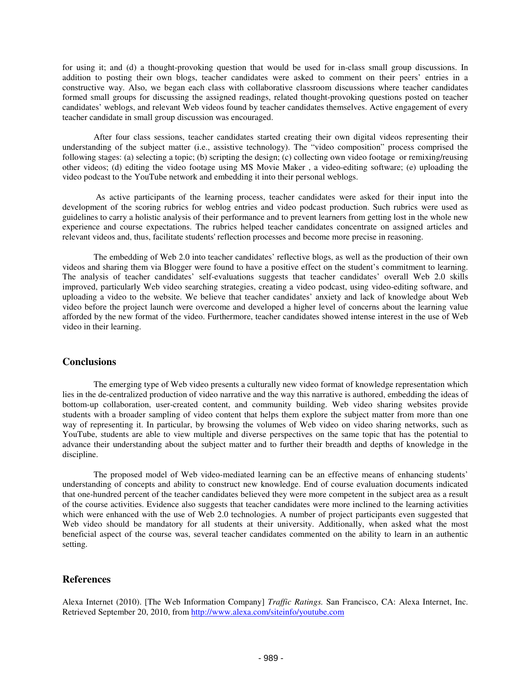for using it; and (d) a thought-provoking question that would be used for in-class small group discussions. In addition to posting their own blogs, teacher candidates were asked to comment on their peers' entries in a constructive way. Also, we began each class with collaborative classroom discussions where teacher candidates formed small groups for discussing the assigned readings, related thought-provoking questions posted on teacher candidates' weblogs, and relevant Web videos found by teacher candidates themselves. Active engagement of every teacher candidate in small group discussion was encouraged.

After four class sessions, teacher candidates started creating their own digital videos representing their understanding of the subject matter (i.e., assistive technology). The "video composition" process comprised the following stages: (a) selecting a topic; (b) scripting the design; (c) collecting own video footage or remixing/reusing other videos; (d) editing the video footage using MS Movie Maker , a video-editing software; (e) uploading the video podcast to the YouTube network and embedding it into their personal weblogs.

As active participants of the learning process, teacher candidates were asked for their input into the development of the scoring rubrics for weblog entries and video podcast production. Such rubrics were used as guidelines to carry a holistic analysis of their performance and to prevent learners from getting lost in the whole new experience and course expectations. The rubrics helped teacher candidates concentrate on assigned articles and relevant videos and, thus, facilitate students'reflection processes and become more precise in reasoning.

The embedding of Web 2.0 into teacher candidates' reflective blogs, as well as the production of their own videos and sharing them via Blogger were found to have a positive effect on the student's commitment to learning. The analysis of teacher candidates' self-evaluations suggests that teacher candidates' overall Web 2.0 skills improved, particularly Web video searching strategies, creating a video podcast, using video-editing software, and uploading a video to the website. We believe that teacher candidates' anxiety and lack of knowledge about Web video before the project launch were overcome and developed a higher level of concerns about the learning value afforded by the new format of the video. Furthermore, teacher candidates showed intense interest in the use of Web video in their learning.

#### **Conclusions**

The emerging type of Web video presents a culturally new video format of knowledge representation which lies in the de-centralized production of video narrative and the way this narrative is authored, embedding the ideas of bottom-up collaboration, user-created content, and community building. Web video sharing websites provide students with a broader sampling of video content that helps them explore the subject matter from more than one way of representing it. In particular, by browsing the volumes of Web video on video sharing networks, such as YouTube, students are able to view multiple and diverse perspectives on the same topic that has the potential to advance their understanding about the subject matter and to further their breadth and depths of knowledge in the discipline.

The proposed model of Web video-mediated learning can be an effective means of enhancing students' understanding of concepts and ability to construct new knowledge. End of course evaluation documents indicated that one-hundred percent of the teacher candidates believed they were more competent in the subject area as a result of the course activities. Evidence also suggests that teacher candidates were more inclined to the learning activities which were enhanced with the use of Web 2.0 technologies. A number of project participants even suggested that Web video should be mandatory for all students at their university. Additionally, when asked what the most beneficial aspect of the course was, several teacher candidates commented on the ability to learn in an authentic setting.

## **References**

Alexa Internet (2010). [The Web Information Company] *Traffic Ratings.* San Francisco, CA: Alexa Internet, Inc. Retrieved September 20, 2010, from http://www.alexa.com/siteinfo/youtube.com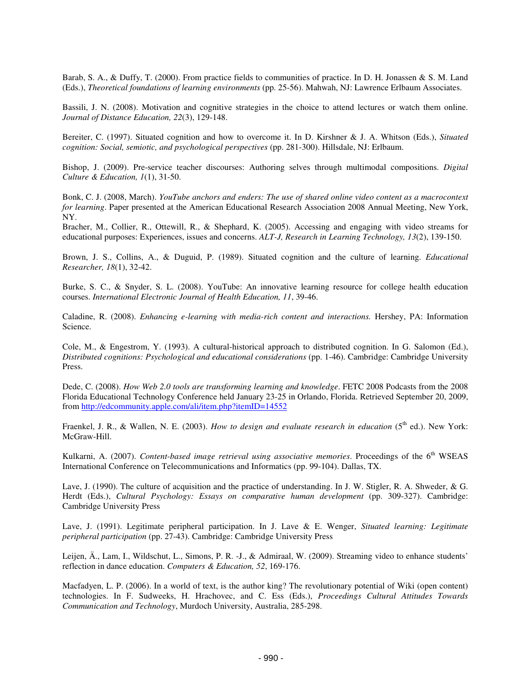Barab, S. A., & Duffy, T. (2000). From practice fields to communities of practice. In D. H. Jonassen & S. M. Land (Eds.), *Theoretical foundations of learning environments* (pp. 25-56). Mahwah, NJ: Lawrence Erlbaum Associates.

Bassili, J. N. (2008). Motivation and cognitive strategies in the choice to attend lectures or watch them online. *Journal of Distance Education, 22*(3), 129-148.

Bereiter, C. (1997). Situated cognition and how to overcome it. In D. Kirshner & J. A. Whitson (Eds.), *Situated cognition: Social, semiotic, and psychological perspectives* (pp. 281-300). Hillsdale, NJ: Erlbaum.

Bishop, J. (2009). Pre-service teacher discourses: Authoring selves through multimodal compositions. *Digital Culture & Education, 1*(1), 31-50.

Bonk, C. J. (2008, March). *YouTube anchors and enders: The use of shared online video content as a macrocontext for learning*. Paper presented at the American Educational Research Association 2008 Annual Meeting, New York, NY.

Bracher, M., Collier, R., Ottewill, R., & Shephard, K. (2005). Accessing and engaging with video streams for educational purposes: Experiences, issues and concerns. *ALT-J, Research in Learning Technology, 13*(2), 139-150.

Brown, J. S., Collins, A., & Duguid, P. (1989). Situated cognition and the culture of learning. *Educational Researcher, 18*(1), 32-42.

Burke, S. C., & Snyder, S. L. (2008). YouTube: An innovative learning resource for college health education courses. *International Electronic Journal of Health Education, 11*, 39-46.

Caladine, R. (2008). *Enhancing e-learning with media-rich content and interactions.* Hershey, PA: Information Science.

Cole, M., & Engestrom, Y. (1993). A cultural-historical approach to distributed cognition. In G. Salomon (Ed.), *Distributed cognitions: Psychological and educational considerations* (pp. 1-46). Cambridge: Cambridge University Press.

Dede, C. (2008). *How Web 2.0 tools are transforming learning and knowledge*. FETC 2008 Podcasts from the 2008 Florida Educational Technology Conference held January 23-25 in Orlando, Florida. Retrieved September 20, 2009, from http://edcommunity.apple.com/ali/item.php?itemID=14552

Fraenkel, J. R., & Wallen, N. E. (2003). *How to design and evaluate research in education* (5 th ed.). New York: McGraw-Hill.

Kulkarni, A. (2007). *Content-based image retrieval using associative memories*. Proceedings of the 6 th WSEAS International Conference on Telecommunications and Informatics (pp. 99-104). Dallas, TX.

Lave, J. (1990). The culture of acquisition and the practice of understanding. In J. W. Stigler, R. A. Shweder, & G. Herdt (Eds.), *Cultural Psychology: Essays on comparative human development* (pp. 309-327). Cambridge: Cambridge University Press

Lave, J. (1991). Legitimate peripheral participation. In J. Lave & E. Wenger, *Situated learning: Legitimate peripheral participation* (pp. 27-43). Cambridge: Cambridge University Press

Leijen, Ä., Lam, I., Wildschut, L., Simons, P. R. -J., & Admiraal, W. (2009). Streaming video to enhance students' reflection in dance education. *Computers & Education, 52*, 169-176.

Macfadyen, L. P. (2006). In a world of text, is the author king? The revolutionary potential of Wiki (open content) technologies. In F. Sudweeks, H. Hrachovec, and C. Ess (Eds.), *Proceedings Cultural Attitudes Towards Communication and Technology*, Murdoch University, Australia, 285-298.